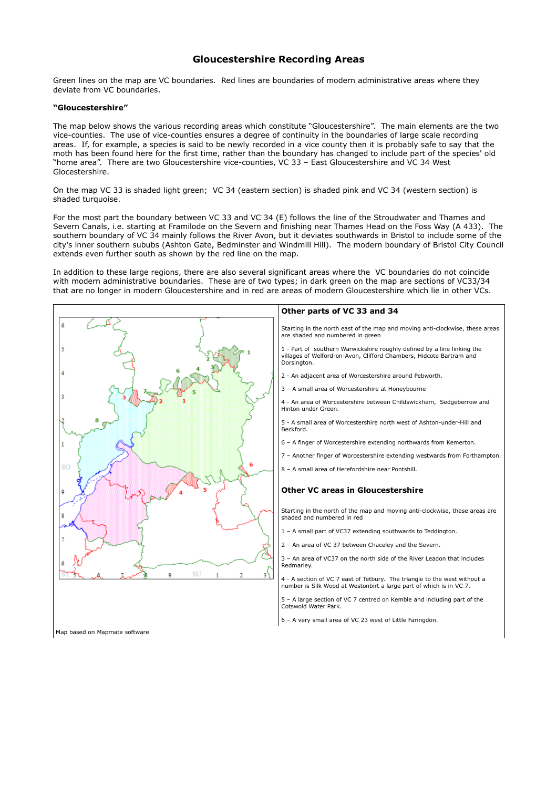# **Gloucestershire Recording Areas**

Green lines on the map are VC boundaries. Red lines are boundaries of modern administrative areas where they deviate from VC boundaries.

# **"Gloucestershire"**

The map below shows the various recording areas which constitute "Gloucestershire". The main elements are the two vice-counties. The use of vice-counties ensures a degree of continuity in the boundaries of large scale recording areas. If, for example, a species is said to be newly recorded in a vice county then it is probably safe to say that the moth has been found here for the first time, rather than the boundary has changed to include part of the species' old "home area". There are two Gloucestershire vice-counties, VC 33 – East Gloucestershire and VC 34 West Glocestershire.

On the map VC 33 is shaded light green; VC 34 (eastern section) is shaded pink and VC 34 (western section) is shaded turquoise.

For the most part the boundary between VC 33 and VC 34 (E) follows the line of the Stroudwater and Thames and Severn Canals, i.e. starting at Framilode on the Severn and finishing near Thames Head on the Foss Way (A 433). The southern boundary of VC 34 mainly follows the River Avon, but it deviates southwards in Bristol to include some of the city's inner southern sububs (Ashton Gate, Bedminster and Windmill Hill). The modern boundary of Bristol City Council extends even further south as shown by the red line on the map.

In addition to these large regions, there are also several significant areas where the VC boundaries do not coincide with modern administrative boundaries. These are of two types; in dark green on the map are sections of VC33/34 that are no longer in modern Gloucestershire and in red are areas of modern Gloucestershire which lie in other VCs.